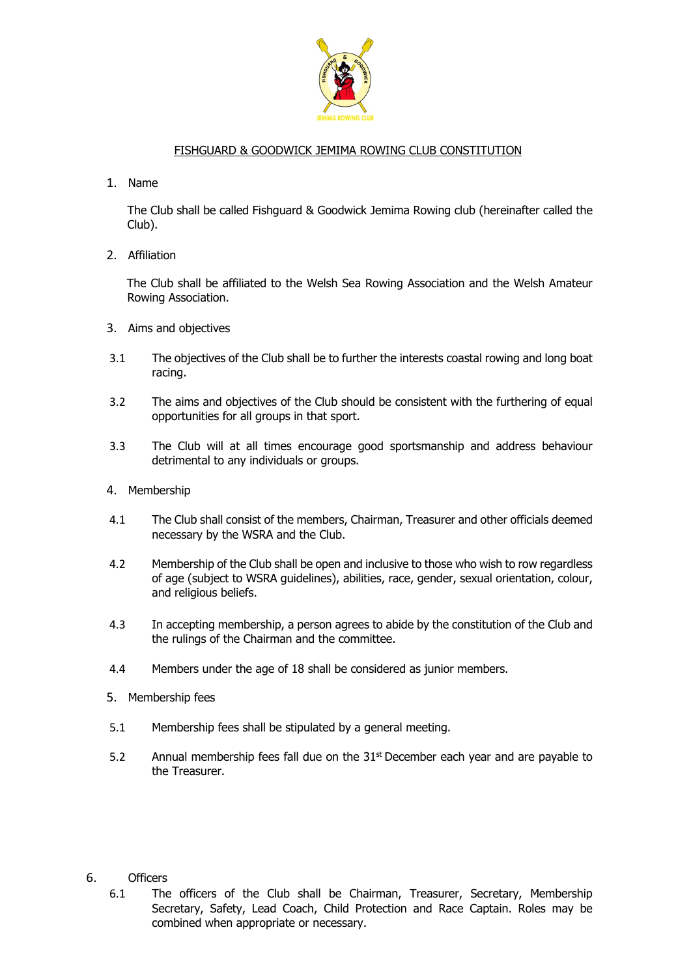

## FISHGUARD & GOODWICK JEMIMA ROWING CLUB CONSTITUTION

1. Name

The Club shall be called Fishguard & Goodwick Jemima Rowing club (hereinafter called the Club).

2. Affiliation

The Club shall be affiliated to the Welsh Sea Rowing Association and the Welsh Amateur Rowing Association.

- 3. Aims and objectives
- 3.1 The objectives of the Club shall be to further the interests coastal rowing and long boat racing.
- 3.2 The aims and objectives of the Club should be consistent with the furthering of equal opportunities for all groups in that sport.
- 3.3 The Club will at all times encourage good sportsmanship and address behaviour detrimental to any individuals or groups.
- 4. Membership
- 4.1 The Club shall consist of the members, Chairman, Treasurer and other officials deemed necessary by the WSRA and the Club.
- 4.2 Membership of the Club shall be open and inclusive to those who wish to row regardless of age (subject to WSRA guidelines), abilities, race, gender, sexual orientation, colour, and religious beliefs.
- 4.3 In accepting membership, a person agrees to abide by the constitution of the Club and the rulings of the Chairman and the committee.
- 4.4 Members under the age of 18 shall be considered as junior members.
- 5. Membership fees
- 5.1 Membership fees shall be stipulated by a general meeting.
- 5.2 Annual membership fees fall due on the  $31<sup>st</sup>$  December each year and are payable to the Treasurer.
- 6. Officers
	- 6.1 The officers of the Club shall be Chairman, Treasurer, Secretary, Membership Secretary, Safety, Lead Coach, Child Protection and Race Captain. Roles may be combined when appropriate or necessary.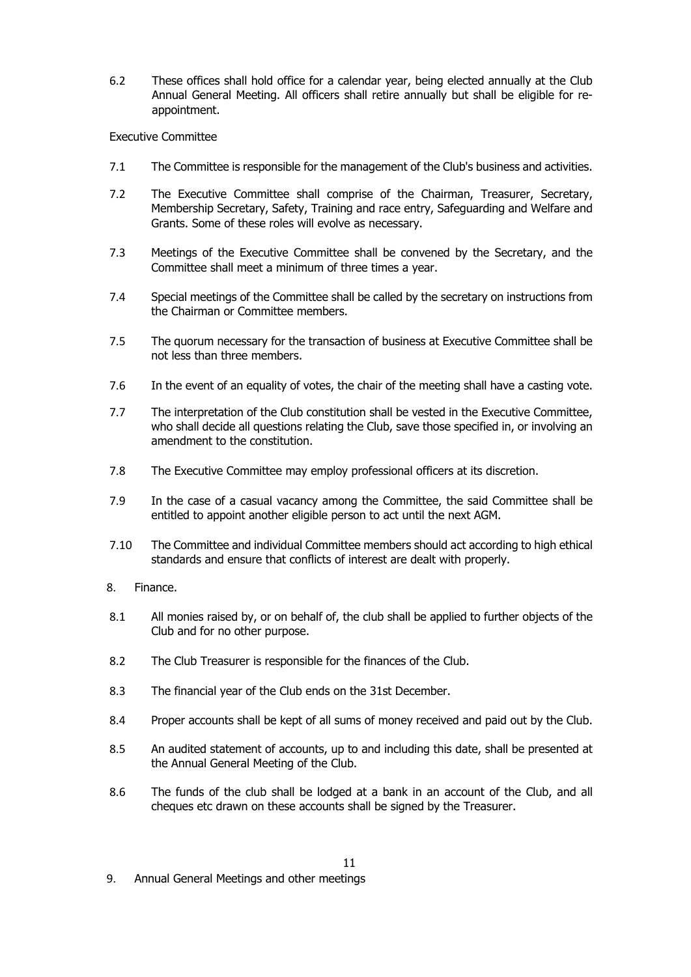6.2 These offices shall hold office for a calendar year, being elected annually at the Club Annual General Meeting. All officers shall retire annually but shall be eligible for reappointment.

## Executive Committee

- 7.1 The Committee is responsible for the management of the Club's business and activities.
- 7.2 The Executive Committee shall comprise of the Chairman, Treasurer, Secretary, Membership Secretary, Safety, Training and race entry, Safeguarding and Welfare and Grants. Some of these roles will evolve as necessary.
- 7.3 Meetings of the Executive Committee shall be convened by the Secretary, and the Committee shall meet a minimum of three times a year.
- 7.4 Special meetings of the Committee shall be called by the secretary on instructions from the Chairman or Committee members.
- 7.5 The quorum necessary for the transaction of business at Executive Committee shall be not less than three members.
- 7.6 In the event of an equality of votes, the chair of the meeting shall have a casting vote.
- 7.7 The interpretation of the Club constitution shall be vested in the Executive Committee, who shall decide all questions relating the Club, save those specified in, or involving an amendment to the constitution.
- 7.8 The Executive Committee may employ professional officers at its discretion.
- 7.9 In the case of a casual vacancy among the Committee, the said Committee shall be entitled to appoint another eligible person to act until the next AGM.
- 7.10 The Committee and individual Committee members should act according to high ethical standards and ensure that conflicts of interest are dealt with properly.
- 8. Finance.
- 8.1 All monies raised by, or on behalf of, the club shall be applied to further objects of the Club and for no other purpose.
- 8.2 The Club Treasurer is responsible for the finances of the Club.
- 8.3 The financial year of the Club ends on the 31st December.
- 8.4 Proper accounts shall be kept of all sums of money received and paid out by the Club.
- 8.5 An audited statement of accounts, up to and including this date, shall be presented at the Annual General Meeting of the Club.
- 8.6 The funds of the club shall be lodged at a bank in an account of the Club, and all cheques etc drawn on these accounts shall be signed by the Treasurer.

9. Annual General Meetings and other meetings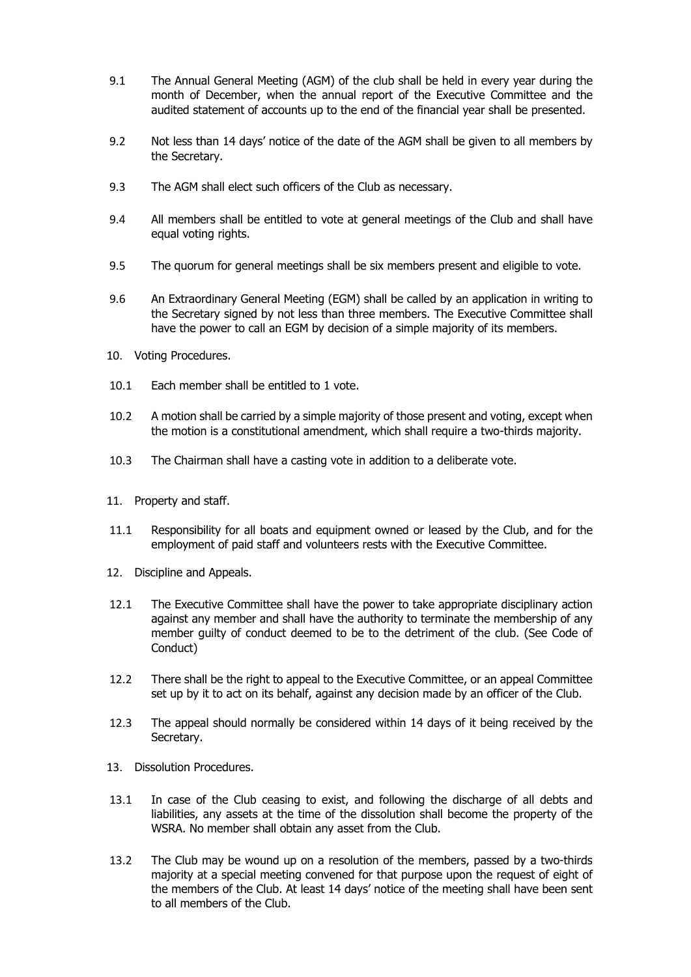- 9.1 The Annual General Meeting (AGM) of the club shall be held in every year during the month of December, when the annual report of the Executive Committee and the audited statement of accounts up to the end of the financial year shall be presented.
- 9.2 Not less than 14 days' notice of the date of the AGM shall be given to all members by the Secretary.
- 9.3 The AGM shall elect such officers of the Club as necessary.
- 9.4 All members shall be entitled to vote at general meetings of the Club and shall have equal voting rights.
- 9.5 The quorum for general meetings shall be six members present and eligible to vote.
- 9.6 An Extraordinary General Meeting (EGM) shall be called by an application in writing to the Secretary signed by not less than three members. The Executive Committee shall have the power to call an EGM by decision of a simple majority of its members.
- 10. Voting Procedures.
- 10.1 Each member shall be entitled to 1 vote.
- 10.2 A motion shall be carried by a simple majority of those present and voting, except when the motion is a constitutional amendment, which shall require a two-thirds majority.
- 10.3 The Chairman shall have a casting vote in addition to a deliberate vote.
- 11. Property and staff.
- 11.1 Responsibility for all boats and equipment owned or leased by the Club, and for the employment of paid staff and volunteers rests with the Executive Committee.
- 12. Discipline and Appeals.
- 12.1 The Executive Committee shall have the power to take appropriate disciplinary action against any member and shall have the authority to terminate the membership of any member guilty of conduct deemed to be to the detriment of the club. (See Code of Conduct)
- 12.2 There shall be the right to appeal to the Executive Committee, or an appeal Committee set up by it to act on its behalf, against any decision made by an officer of the Club.
- 12.3 The appeal should normally be considered within 14 days of it being received by the Secretary.
- 13. Dissolution Procedures.
- 13.1 In case of the Club ceasing to exist, and following the discharge of all debts and liabilities, any assets at the time of the dissolution shall become the property of the WSRA. No member shall obtain any asset from the Club.
- 13.2 The Club may be wound up on a resolution of the members, passed by a two-thirds majority at a special meeting convened for that purpose upon the request of eight of the members of the Club. At least 14 days' notice of the meeting shall have been sent to all members of the Club.